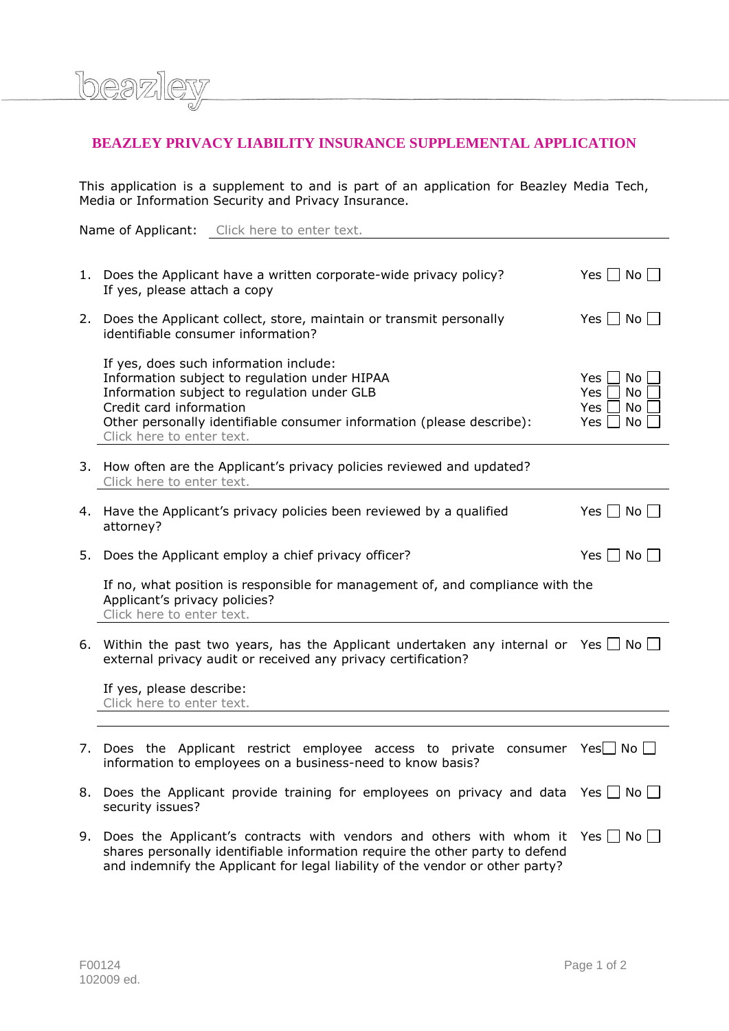

This application is a supplement to and is part of an application for Beazley Media Tech, Media or Information Security and Privacy Insurance.

Name of Applicant: Click here to enter text.

**AW** 

beazl

|    | 1. Does the Applicant have a written corporate-wide privacy policy?<br>If yes, please attach a copy                                                                                                                                                                     | Yes $\Box$ No $\Box$                              |
|----|-------------------------------------------------------------------------------------------------------------------------------------------------------------------------------------------------------------------------------------------------------------------------|---------------------------------------------------|
|    | 2. Does the Applicant collect, store, maintain or transmit personally<br>identifiable consumer information?                                                                                                                                                             | Yes $\Box$ No $\Box$                              |
|    | If yes, does such information include:<br>Information subject to regulation under HIPAA<br>Information subject to regulation under GLB<br>Credit card information<br>Other personally identifiable consumer information (please describe):<br>Click here to enter text. | Yes<br>No<br>Yes<br>No.<br>Yes<br>No<br>Yes<br>No |
|    | 3. How often are the Applicant's privacy policies reviewed and updated?<br>Click here to enter text.                                                                                                                                                                    |                                                   |
| 4. | Have the Applicant's privacy policies been reviewed by a qualified<br>attorney?                                                                                                                                                                                         | Yes $\Box$ No $\Box$                              |
| 5. | Does the Applicant employ a chief privacy officer?                                                                                                                                                                                                                      | Yes $\Box$ No $\Box$                              |
|    | If no, what position is responsible for management of, and compliance with the<br>Applicant's privacy policies?<br>Click here to enter text.                                                                                                                            |                                                   |
|    | 6. Within the past two years, has the Applicant undertaken any internal or Yes $\Box$ No $\Box$<br>external privacy audit or received any privacy certification?                                                                                                        |                                                   |
|    | If yes, please describe:<br>Click here to enter text.                                                                                                                                                                                                                   |                                                   |
|    |                                                                                                                                                                                                                                                                         |                                                   |
|    | 7. Does the Applicant restrict employee access to private consumer $Yes \square$ No $\square$<br>information to employees on a business-need to know basis?                                                                                                             |                                                   |
|    | 8. Does the Applicant provide training for employees on privacy and data Yes $\Box$ No $\Box$<br>security issues?                                                                                                                                                       |                                                   |
| 9. | Does the Applicant's contracts with vendors and others with whom it<br>shares personally identifiable information require the other party to defend<br>and indemnify the Applicant for legal liability of the vendor or other party?                                    | Yes $\Box$ No $\Box$                              |